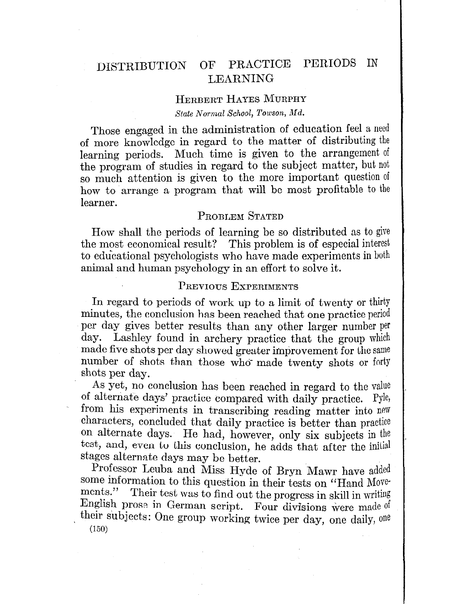### HERBERT Haves Murpuy

State Normal School, Towson, Md.

Those engaged in the administration of education feel a need of more knowledge in regard to the matter of distributing the learning periods. Much time is given to the arrangement of the program of studies in regard to the subject matter, but not so much attention is given to the more important question of how to arrange a program that will be most profitable to the learner.

### PROBLEM STATED

How shall the periods of learning be so distributed asto give the most economical result? This problem is of especial interest to educational psychologists who have made experiments in both animal and human psychology in an effort to solve it.

### PREVIOUS EXPERIMENTS

In regard to periods of work up to a limit of twenty or thirty minutes, the conclusion has been reached that one practice period per day gives better results than any other larger number pé day. Lashley found in archery practice that the group which made five shots per day showed greater improvement for the same number of shots than those who made twenty shots or forty shots per day.

As yet, no conclusion has been reached in regard to the value of alternate days' practice compared with daily practice. Pyle, from his experiments in transcribing reading matter into new characters, concluded that daily practice is better than practice on alternate days. He had, however, only six subjects in the test, and, even to this conclusion, he adds that after the initial

stages alternate days may be better.<br>Professor Leuba and Miss Hyde of Bryn Mawr have added<br>some information to this question in their tests on "Hand Move-<br>ments." Their test was to find out the progress in skill in writing English prose in German script. Four divisions were made of their subjects: One group working twice per day, one daily, one  $(150)$ 

 $\overline{\phantom{a}}$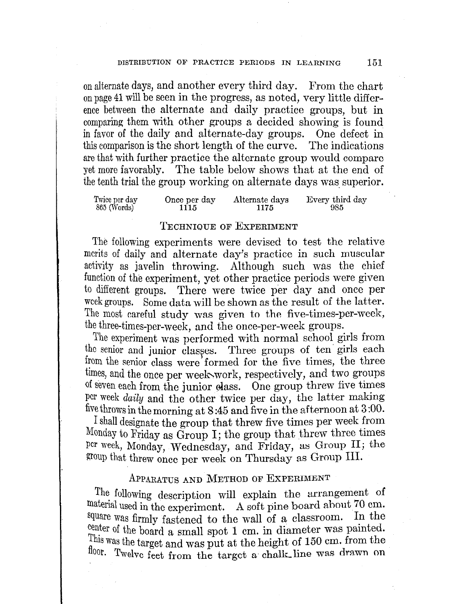on alternate days, and another every third day. From the chart on page 41 will be seen in the progress, as noted, very little difference between the alternate and daily practice groups, but in comparing them with other groups a decided showing is found in favor of the daily and alternate-day groups. One defect in this comparison is the short length of the curve. The indications are that with further practice the alternate group would compare yet more favorably. 'The table below shows that at the end of the tenth trial the group working on alternate days was superior.

| Twice per day | Once per day | Alternate days | Every third day |
|---------------|--------------|----------------|-----------------|
| $865$ (Words) | 1115         | 1175           | 985             |

### TECHNIQUE OF EXPERIMENT

The following experiments were devised to test the relative merits of daily and alternate day's practice in such muscular activity as javelin throwing. Although such was the chief function of the experiment, yet other practice periods were given to different groups. There were twice per day and once per week groups. Some data will be shown as the result of the latter. The most careful study was given to the five-times-per-week, the three-times-per-week, and the once-per-week groups.

The experiment was performed with normal school girls from the senior and junior classes. Three groups of ten girls each from the senior class were formed for the five times, the three times, and the once per week work, respectively, and two groups of seven each from the junior class. One group threw five times per week daily and the other twice per day, the latter making five throws in the morning at 8:45 and five in the afternoon at 3:00.

<sup>I</sup> shall designate the group that threw five times per week from Monday to Friday as Group I; the group that threw three times per week, Monday, Wednesday, and Friday, as Group II; the group that threw once per week on Thursday as Group III.

### APPARATUS AND METHOD OF EXPERIMENT

The following description will explain the arrangement of material used in the experiment. A soft pine board about 70 cm.<br>
square was firmly fastened to the wall of a classroom. In the square was firmly fastened to the wall of a classroom. In the center of the board a small spot 1 cm. in diameter was painted. This was the target and was put at the height of 150 cm. from the floor. Twelve feet from the target a chalk line was drawn on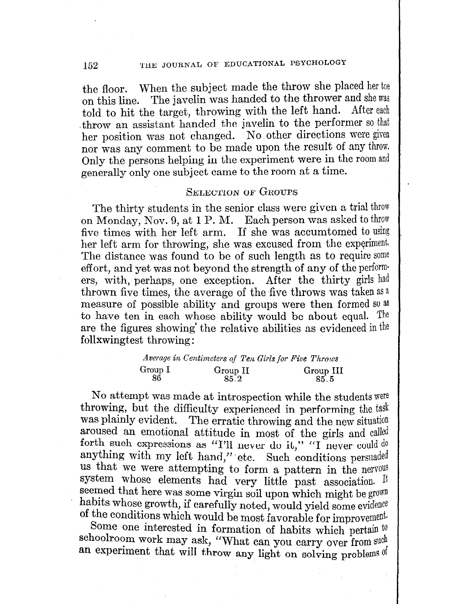the floor. When the subject made the throw she placed her toe on this line. The javelin was handed to the thrower and she was told to hit the target, throwing with the left hand. After each throw an assistant handed the javelin to the performer so that her position was not changed. No other directions were given nor was any comment to be made upon the result of any throw. Only the persons helping in the experiment were in the room and generally only one subject came to the room at a time.

### SELECTION OF GROUPS

The thirty students in the senior class were given a trial throw on Monday, Nov. 9, at 1 P.M. Each person was asked to throw five times with her left arm. If she was accumtomed to using her left arm for throwing, she was excused from the experiment. The distance was found to be of such length as to require some effort, and yet was not beyond the strength of any of the performers, with, perhaps, one exception. After the thirty girls had thrown five times, the average of the five throws was taken as a measure of possible ability and groups were then formed so as to have ten in each whose ability would be about equal. The are the figures showing'the relative abilities as evidenced in the follxwingtest throwing: |

|         | Average in Centimeters of Ten Girls for Five Throws |           |
|---------|-----------------------------------------------------|-----------|
| Group I | Group II                                            | Group III |
| 86      | 85.2                                                | 85.5      |

No attempt was madeat introspection while the students wet throwing, but the difficulty experienced in performing the task was plainly evident. The erratic throwing and the new situation aroused an emotional attitude in most of the girls and called forth such expressions as "I'll never do it," "I never could  $d\sigma$ anything with my left hand," etc. Such conditions persuaded us that we were attempting to form a pattern in the nervous system whose elements had very little past association. If seemed that here was some virgin soil upon which might be grown habits whose growth, if carefully noted, would yield some evidence of the conditions which would be most favorable for improvement.

Some one interested in formation of habits which pertain  $\psi$ schoolroom work may ask, "What can you carry over from such an experiment that will throw any light on solving problems of

 $\mathsf{I}$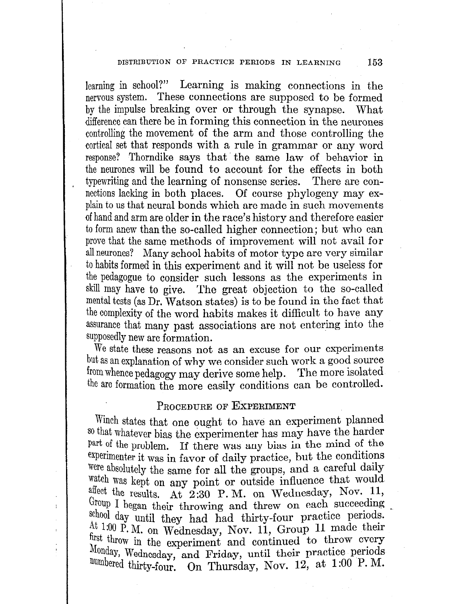learning in school?" Learning is making connections in the nervous system. 'These connections are supposed to be formed by the impulse breaking over or through the synapse. What difference can there be in forming this connection in the neurones controlling the movement of the arm and those controlling the cortical set that responds with a rule in grammar or any word response? Thorndike says that the same law of behavior in the neurones will be found to account for the effects in both typewriting and the learning of nonsense series. There are connections lacking in both places. Of course phylogeny may explain to us that neural bonds which are made in such movements of hand and arm are older in the race's history and therefore easier to form anew than the so-called higher connection; but who can. prove that the same methods of improvement will not avail for all neurones? Many school habits of motor type are very similar to habits formed in this experiment and it will not be useless for the pedagogue to consider such lessons as the experiments in skill may have to give. The great objection to the so-called mental tests (as Dr. Watson states) is to be found in the fact that the complexity of the word habits makesit difficult to have any assurance that many past associations are not entering into the supposedly new are formation. We state these reasons not as an excuse for our experiments

but as an explanation of why we consider such work a good source from whence pedagogy may derive some help. The moreisolated. the are formation the more easily conditions can be controlled.

### PROCEDURE OF EXPERIMENT

Winch states that one ought to have an experiment planned <sup>80</sup> that whatever bias the experimenter has may have the harder part of the problem. If there was any bias in the mind of the experimenter it was in favor of daily practice, but the conditions were absolutely the same for all the groups, and a careful daily watch was kept on any point or outside influence that would affect the results. At  $2.30$  P.M. on Wednesday, Nov. 11, Group I began their throwing and threw on each succeeding school day until they had had thirty-four practice periods. At 1:00 P.M. on Wednesday, Nov. 11, Group II made their first throw in the experiment and continued to throw every Monday, Wednesday, and Friday, until their practice periods numbered thirty-four. On Thursday, Nov. 12, at 1:00 P.M.

÷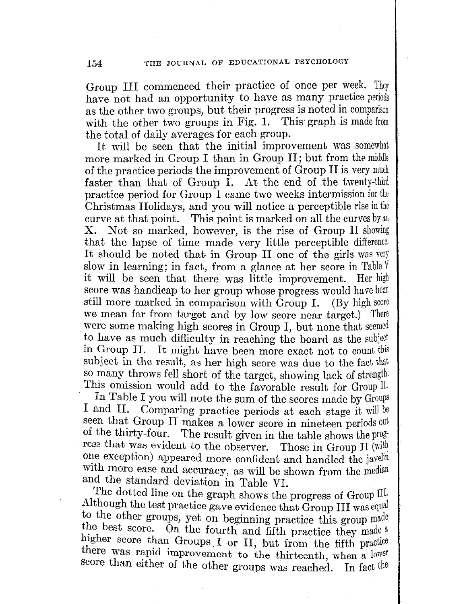Group III commenced their practice of once per week. They have not had an opportunity to have as many practice periods as the other two groups, but their progress is noted in comparison with the other two groups in Fig. 1. This graph is made from the total of daily averages for each group.

It will be seen that the initial improvement was somewhat more marked in Group I than in Group IT; but from the midde of the practice periods the improvement of Group IT is very much faster than that of Group I. At the end of the twenty-thi practice period for Group I came two weeks intermission for the Christmas Holidays, and you will notice a perceptible rise in the | curve at that point. This point is marked on all the curves by an X. Not so marked, however, is the rise of Group II showing that the lapse of time made very little perceptible difference. It should be noted that in Group II one of the girls was very slow in learning; in fact, from a glance at her score in Table Y it will be seen that there was little improvement. Her high score was handicap to her group whose progress would have been still more marked in comparison with Group I. (By high score we mean far from target and by low score near target.) There were some making high scores in Group I, but none that seemed to have as much difficulty in reaching the board as the subject in Group II. It might have been more exact not to count this subject in the result, as her high score was due to the fact that so many throws fell short of the target, showing lack of strength.<br>This omission would add to the favorable result for Group II.

In Table I you will note the sum of the scores made by Groups Tand II. Comparing practice periods at each stage it will be seen that Group II makes a lower score in nineteen periods out of the thirty-four. The result given in the table shows the progress that was evident to the observer. Those in Group II (with one exception) appeared more confident and handled the javelin with more ease and accuracy, as will be shown from the median and the standard deviation in Tabl

The dotted line on the graph shows the progress of Group III. Although the test practice gave evidence that Group III was equal to the other groups, yet on beginning practice this group made the best score. On the fourth and fifth practice they made a higher score than Groups I or II, but from the fifth practice there was rapid improvement to the thirteenth, when a lower score than either of the other groups was reached. In fact the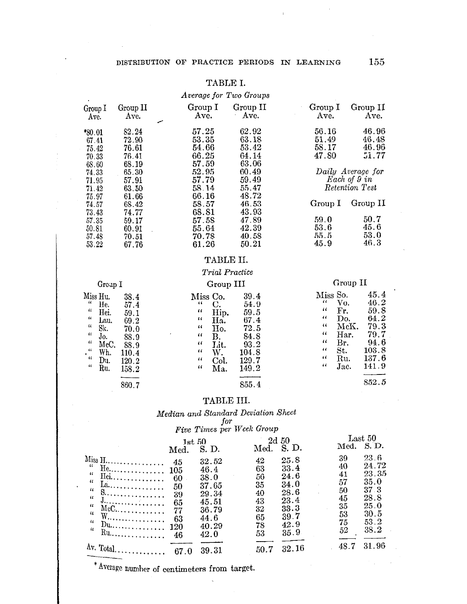### TABLE I.

### Average for Two Groups

| Group I<br>Ave.                                                                                                                                                                                                  | Group II<br>Ave.                                                                    | Group I<br>Ave.                                                                                                                                                                         | Group II<br>Ave.                                                                | Group I<br>Ave.                                                                                                                                          | Group II<br>Ave.                                                                                               |
|------------------------------------------------------------------------------------------------------------------------------------------------------------------------------------------------------------------|-------------------------------------------------------------------------------------|-----------------------------------------------------------------------------------------------------------------------------------------------------------------------------------------|---------------------------------------------------------------------------------|----------------------------------------------------------------------------------------------------------------------------------------------------------|----------------------------------------------------------------------------------------------------------------|
| *80.01<br>67.41<br>75.42<br>70.33<br>68.60<br>74.33                                                                                                                                                              | 82.24<br>72.90<br>76.61<br>76.41<br>68.19<br>65.30                                  | 57.25<br>53.35<br>54.66<br>66.25<br>57.59<br>52.95                                                                                                                                      | 62.92<br>63.18<br>53.42<br>64.14<br>63.06<br>60.49                              | 56.16<br>51.49<br>58.17<br>47.80                                                                                                                         | 46.96<br>46.48<br>46.96<br>51.77<br>Daily Average for                                                          |
| 71.95<br>71.42<br>75.97                                                                                                                                                                                          | 57.91<br>63.50<br>61.66                                                             | 57.79<br>58.14<br>66.16                                                                                                                                                                 | 59.49<br>55.47<br>48.72                                                         |                                                                                                                                                          | Each of 9 in<br>Retention Test                                                                                 |
| 74.57<br>73.43                                                                                                                                                                                                   | 68.42<br>74.77                                                                      | 58.57<br>68.81                                                                                                                                                                          | 46.53<br>43.93                                                                  | Group I                                                                                                                                                  | Group II<br>50.7                                                                                               |
| 57.35<br>50.81<br>57.48<br>53.22                                                                                                                                                                                 | 59.17<br>60.91<br>70.51<br>67.76                                                    | 57.58<br>55.64<br>70.78<br>61.26                                                                                                                                                        | 47.89<br>42.39<br>40.58<br>50.21                                                | 59.0<br>53.6<br>55.5<br>45.9                                                                                                                             | 45.6<br>53.0<br>$-46.3$                                                                                        |
|                                                                                                                                                                                                                  |                                                                                     |                                                                                                                                                                                         | TABLE II.                                                                       |                                                                                                                                                          |                                                                                                                |
|                                                                                                                                                                                                                  |                                                                                     |                                                                                                                                                                                         | Trial Practice                                                                  |                                                                                                                                                          |                                                                                                                |
| Group I                                                                                                                                                                                                          |                                                                                     |                                                                                                                                                                                         | Group III                                                                       |                                                                                                                                                          | Group II                                                                                                       |
| Miss Hu.<br>ш<br>He.<br>$\boldsymbol{u}$<br>Hei.<br>$\boldsymbol{\mathcal{U}}$<br>Lau.<br>$\mathcal{U}$<br>Sk.<br>$\alpha$<br>Jo.<br>4<br>McC.<br>46<br>Wh.<br>$\boldsymbol{\mu}$<br>Du.<br>$\mathcal{U}$<br>Ru. | 38.4<br>57.4<br>59.1<br>69.2<br>70.0<br>88.9<br>88.9<br>110.4<br>120.2<br>$158.2\,$ | Miss Co.<br>66<br>C.<br>$\epsilon$<br>Hip.<br>33<br>Ha.<br>$\mathfrak{c}$<br>Ho.<br>44<br>Β.<br>$\epsilon$<br>Lit.<br>$\epsilon$<br>W.<br>$\mathcal{U}$<br>Col.<br>$\mathcal{U}$<br>Ma. | 39.4<br>54.9<br>59.5<br>67.4<br>72.5<br>84.8<br>93.2<br>104.8<br>129.7<br>149.2 | Miss So.<br>11<br>Vo.<br>$\mathcal{U}$<br>Fr.<br>$\epsilon$<br>Do.<br>6<br>"<br>Har.<br>"<br>Br.<br>$\epsilon$<br>St.<br>66<br>Ru.<br>$\epsilon$<br>Jac. | 45.4<br>46.2<br>59.8<br>64.2<br>79.3<br>$_{\rm{MeK.}}$<br>79.7<br>94.6<br>103.8<br>$137.6\,$<br>141.9<br>852.5 |
|                                                                                                                                                                                                                  | 860.7                                                                               |                                                                                                                                                                                         | 855.4                                                                           |                                                                                                                                                          |                                                                                                                |

### TABLE III.

Median and Standard Deviation Sheet<br>for<br>Five Times per Week Group

|                                                                                                                | 1st 50    |                |          | 2d <sub>50</sub> |          | Last 50       |
|----------------------------------------------------------------------------------------------------------------|-----------|----------------|----------|------------------|----------|---------------|
|                                                                                                                | Med.      | S. D.          | Med.     | S. D.            | Med.     | S.D.          |
|                                                                                                                | 45        | 32.52          | 42       | 25.8             | 39       | 23.6<br>24.72 |
| $\epsilon$<br>$Hei$                                                                                            | 105<br>60 | 46.4<br>38.0   | 63<br>56 | 33.4<br>24.6     | 40<br>41 | 23.35         |
| $\alpha$<br>$La \ldots$<br>"                                                                                   | 50        | 37.65          | 35       | 34.0             | 57<br>50 | 35.0<br>37.3  |
| $S_{\cdots},\ldots, S_{\cdots}$<br>$\mathfrak{c}$<br>J., , , , , , , , , , , , , , , , , ,<br>$\boldsymbol{u}$ | 39<br>65  | 29.34<br>45.51 | 40<br>43 | 28.6<br>23.4     | 45       | 28.8          |
| $McC$<br>44<br>$W$                                                                                             | 77        | 36.79<br>44.6  | 32<br>65 | 33.3<br>39.7     | 35<br>53 | 25.0<br>30.5  |
| $\mathcal{U}$<br>$Du$<br>$\mathcal{U}$                                                                         | 63<br>120 | 40.29          | 78       | 42.9             | 75<br>52 | 53.2<br>38.2  |
|                                                                                                                | 46        | 42.0           | 53       | 35.9             |          |               |
| $Av.$ Total                                                                                                    | 67.0      | 39.31          |          | 32.16            | 48.7     | 31.96         |

 $^*$  Average number of centimeters from target.

 $\bar{\zeta}$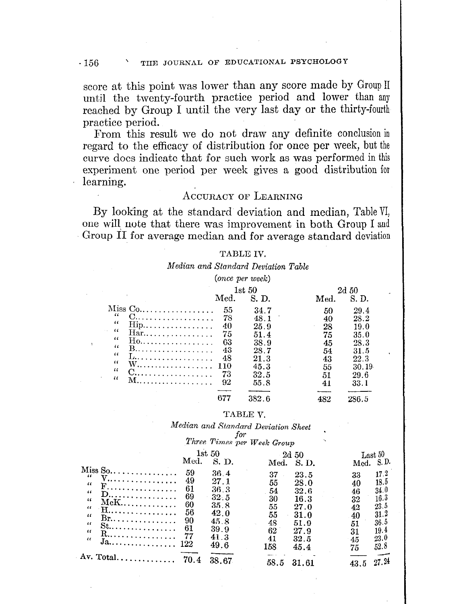### THE JOURNAL OF EDUCATIONAL PSYCHOLOGY  $\cdot$ 156

score at this point was lower than any score made by Group II until the twenty-fourth practice period and lower than any reached by Group I until the very last day or the thirty-fourth practice period.

From this result we do not draw any definite conclusion in regard to the efficacy of distribution for once per week, but the curve does indicate that for such work as was performed in this experiment one period per week gives a good distribution for learning.

### ACCURACY OF LEARNING

By looking at the standard deviation and median, Table VI, one will note that there was improvement in both Group I and Group II for average median and for average standard deviation

### TABLE IV.

### Median and Standard Deviation Table

|                                                                                                                                                                                                                                   |                                                           | (once per week)                                                                  |                                                          |                                                                               |
|-----------------------------------------------------------------------------------------------------------------------------------------------------------------------------------------------------------------------------------|-----------------------------------------------------------|----------------------------------------------------------------------------------|----------------------------------------------------------|-------------------------------------------------------------------------------|
|                                                                                                                                                                                                                                   |                                                           | 1st 50                                                                           |                                                          | 2d <sub>50</sub>                                                              |
|                                                                                                                                                                                                                                   | Med.                                                      | S. D.                                                                            | Med.                                                     | S. D.                                                                         |
| Miss Co<br>"<br>C.<br>$\epsilon$<br>$\text{Hip}$<br>$\mathcal{L}_{\rm eff}$ .<br>$\epsilon$<br>Har<br>$\epsilon$<br>$H_0, \ldots, \ldots, \ldots, \ldots$<br>77<br>B.<br>$\epsilon$<br>L.<br>$\epsilon$<br>$\epsilon$<br>C.<br>11 | 55<br>78<br>40<br>75<br>63<br>43<br>48<br>110<br>73<br>92 | 34.7<br>48.1<br>25.9<br>51.4<br>38.9<br>28.7<br>21.3<br>45.3<br>$32.5\,$<br>55.8 | 50<br>40<br>28<br>75<br>45<br>54<br>43<br>55<br>51<br>41 | 29.4<br>28.2<br>19.0<br>35.0<br>28.3<br>31.5<br>22.3<br>30.19<br>29.6<br>33.1 |
|                                                                                                                                                                                                                                   |                                                           | 382.6                                                                            | 182                                                      | 286.5                                                                         |

### TABLE V.

Median and Standard Deviation Sheet

for  $\frac{1}{\sqrt{2}}$  $m_{max}$ 

|                                                                      | Three Times per Week Group |              |          |                  |          |              |
|----------------------------------------------------------------------|----------------------------|--------------|----------|------------------|----------|--------------|
|                                                                      |                            | $1st\ 50$    |          | 2d <sub>50</sub> |          | Last 50      |
|                                                                      | Med.                       | S. D.        | Med.     | S. D.            | Med.     | S.D.         |
| $Miss So.$<br>$\iota\iota$                                           | 59                         | 36.4         | 37       | 23.5             | 33       | 17.2         |
| V.<br>$\epsilon$<br>$F$                                              | 49<br>61                   | 27.1<br>36.3 | 55       | <b>28.0</b>      | 40       | 18.5<br>34.0 |
| $\epsilon$<br>D<br>"                                                 | 69                         | 32.5         | 54<br>30 | 32.6<br>16.3     | 46<br>32 | $16.3\,$     |
| $McK$<br>$\epsilon$<br>H                                             | 60<br>56                   | 35.8         | 55       | 27.0             | 42       | 23.5         |
| $\epsilon$<br>$Br_{1}, \ldots, \ldots, \ldots, \ldots$<br>$\epsilon$ | 90                         | 42.0<br>45.8 | 55<br>48 | 31.0<br>51.9     | 40       | 31.2<br>36.5 |
| $St$<br>$\epsilon$                                                   | 61                         | 39.9         | 62       | 27.9             | 51<br>31 | 19.4         |
| $\alpha$<br>$Ja$                                                     | 77<br>122                  | 41.3         | 41       | 32.5             | 45       | 23.0         |
|                                                                      |                            | 49.6         | 158      | 45.4             | 75       | 52.8         |
| Av. Total                                                            | 70.4                       | 38.67        | 58.5     | 31.61            | 43.      | -24          |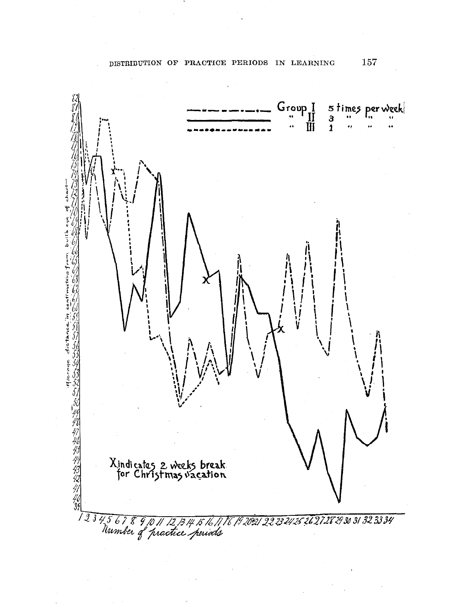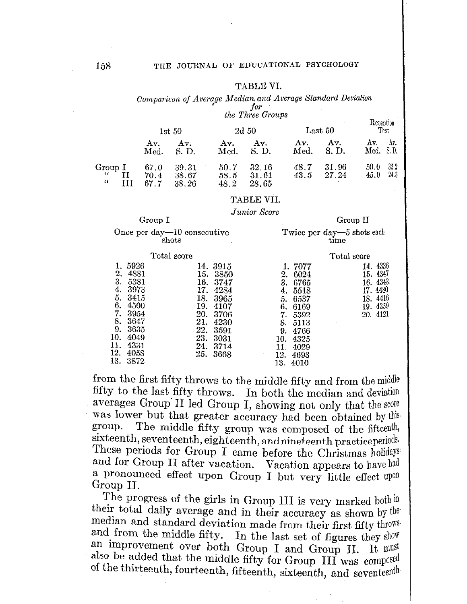### 158 THE JOURNAL OF EDUCATIONAL PSYCHOLOGY

### TABLE VL.

|                                                                                             |                      |                                        |                                                           | for                       | Comparison of Average Median. and Average Standard Deviation                     |                |                                                                                |              |
|---------------------------------------------------------------------------------------------|----------------------|----------------------------------------|-----------------------------------------------------------|---------------------------|----------------------------------------------------------------------------------|----------------|--------------------------------------------------------------------------------|--------------|
|                                                                                             | 1st 50               |                                        |                                                           | the Three Groups<br>2d 50 | Last 50                                                                          |                | Retention<br>Test                                                              |              |
|                                                                                             | Av.<br>Med.          | Av.<br>S. D.                           | Av.<br>Med.                                               | Av.<br>S. D.              | Av.<br>Med.                                                                      | Av.<br>S.D.    | Av.<br>Mcd.                                                                    | A۷.<br>S.D.  |
| Group I<br>"<br>П<br>"<br>III                                                               | 67.0<br>70.4<br>67.7 | 39.31<br>38.67<br>38.26                | 50.7<br>58.5<br>48.2                                      | 32.16<br>31.61<br>28.65   | 48.7<br>43.5                                                                     | 31.96<br>27.24 | 50.0<br>45.0                                                                   | 32.2<br>24.3 |
|                                                                                             |                      |                                        |                                                           | TABLE VII.                |                                                                                  |                |                                                                                |              |
|                                                                                             | Group I              |                                        |                                                           | Junior Score              |                                                                                  | Group II       |                                                                                |              |
|                                                                                             |                      | Once per day—10 consecutive<br>shots   |                                                           |                           | Twice per day—5 shots each                                                       | time           |                                                                                |              |
|                                                                                             |                      | Total score                            |                                                           |                           |                                                                                  | Total score    |                                                                                |              |
| 1. 5926<br>2.<br>4881<br>3.<br>5381<br>4.<br>3973<br>5.<br>3415<br>6.<br>4500<br>7.<br>3954 |                      | 15.<br>16.<br>17.<br>18.<br>19.<br>20. | 14. 3915<br>-3850<br>3747<br>4284<br>3965<br>4107<br>3706 |                           | 1.7077<br>2. 6024<br>3.<br>6765<br>4.5518<br>5.<br>6537<br>6. 6169<br>7.<br>5392 |                | 14.4336<br>15. 4347<br>16. 4343<br>17.4480<br>18. 4416<br>19. 4359<br>20. 4121 |              |
| 8.<br>3647                                                                                  |                      | 21.                                    | 4230                                                      |                           | 8.<br>5113                                                                       |                |                                                                                |              |

from the first fifty throws to the middle fifty and from the middle fifty to the last fifty throws. In both the median and deviation averages Group II led Group I, showing not only that the score was lower but that greater accuracy had been obtained by this group. The middle fifty group was composed of the fifteenth, sixteenth, seventeenth, eighteenth, and nineteenth practiceperiods. These periods for Group I came before the Christmas holidays and for Group II after vacation. Vacation appears to have had a pronounced effect upon Group I but very little effect upon Group II.

 $\begin{array}{cccc} 9. & 3635 & 22. & 3591 & 9. & 4766 \ 10. & 4049 & 23. & 3031 & 10. & 4325 \ 11. & 4331 & 24. & 3714 & 11. & 4029 \ 12. & 4058 & 25. & 3668 & 12. & 4693 \ \end{array}$ 

 $\begin{array}{r} 12. \ \ 4058 \ \ 13. \ \ 3872 \ \ 13. \ \ 4010 \end{array} \hspace{2.0cm} , \ \begin{array}{r} 25. \ \ 3668 \ \ 12. \ \ 4693 \ \ 13. \ \ 4010 \ \end{array}$ 

The progress of the girls in Group III is very marked both in their total daily average and in their accuracy as shown by the median and standard deviation made from their first fifty throws and from the middle fifty. In the last set of figures they show an improvement over both Grou of the thirteenth, fourteenth, fifteenth, sixteenth, and seventeenth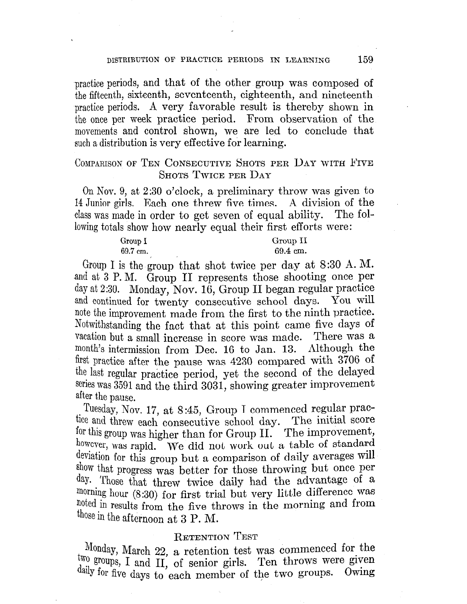practice periods, and that of the other group was composed of the fifteenth, sixteenth, seventeenth, eighteenth, and nineteenth practice periods. A very favorable result is thereby shown in the once per week practice period. From observation of the. movements and control shown, we are led to conclude that such a distribution is very effective for learning.

### Comparison OF TEN CONSECUTIVE SHOTS PER DAY WITH FIVE SHOTS TWICE PER DAY

On Nov. 9, at 2:30 o'clock, a preliminary throw was given to <sup>14</sup> Junior girls. Each one threw five times. A division of the class was made in order to get seven of equal ability. The following totals show how nearly equal their first efforts were:

| Group $I$ | Group II           |  |
|-----------|--------------------|--|
| 69.7 cm.  | $69.4 \text{ cm.}$ |  |

Group <sup>I</sup> is the group that shot twice per day at 8:30 A. M. and at 3 P.M. Group II represents those shooting once per day at 2:30. Monday, Nov. 16, Group II began regular practice and continued for twenty consecutive school days. You will note the improvement made from the first to the ninth practice. Notwithstanding the fact that at this point came five days of vacation but a small increase in score was made. 'There was a month's intermission from Dee. 16 to Jan. 13. Although the first practice after the pause was  $4230$  compared with  $3706$  of the last regular practice period, yet the second of the delayed series was 3591 and the third 3031, showing greater improvement after the pause.

Tuesday, Nov. 17, at 8:45, Group <sup>I</sup> commenced regular practice and threw each consecutive school day. The initial score for this group was higher than for Group II. The improvement, however, was rapid. We did not work out a table of standard deviation for this group but a comparison of daily averages will show that progress was better for those throwing but once per day, Those that threw twice daily had the advantage of a morning hour (8:30) for first trial but very little difference was hoted in results from the five throws in the morning and from those in the afternoon at 3 P. M.

### RETENTION TEST

Monday, March 22, a retention test was commenced for the  $^{iw_0}$  groups, I and II, of senior girls. Ten throws were given daily for five days to each member of the two groups. Owing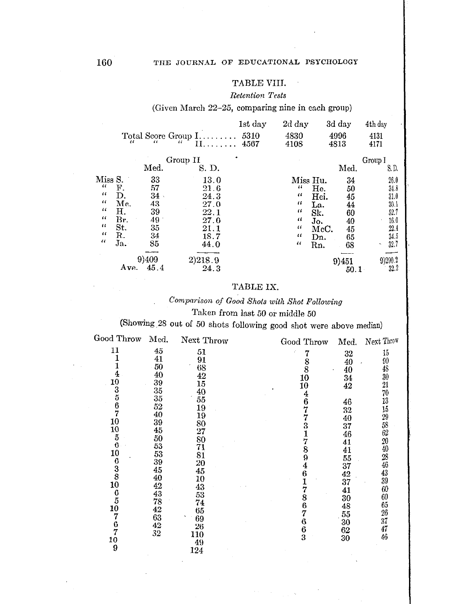### THE JOURNAL OF EDUCATIONAL PSYCHOLOGY

### TABLE VIII.

 $\cdot$ 

### Retention Tests

### (Given March 22-25, comparing nine in each group)

|                                                                                                    | $\epsilon$                                       | $\epsilon$                                                    | Total Score Group I.<br>$\epsilon$<br>II. <sub>.</sub>               | 1st day<br>5310<br>4567 | 2d day<br>4830<br>4108                                                 |                                                        | 3d day<br>4996<br>4813                             | 4th day<br>4131<br>4171 |                                                                      |
|----------------------------------------------------------------------------------------------------|--------------------------------------------------|---------------------------------------------------------------|----------------------------------------------------------------------|-------------------------|------------------------------------------------------------------------|--------------------------------------------------------|----------------------------------------------------|-------------------------|----------------------------------------------------------------------|
|                                                                                                    |                                                  | $\operatorname{Med.}$                                         | Group II<br>S. D.                                                    |                         |                                                                        |                                                        | Med.                                               | Group I                 | S.D.                                                                 |
| MissS.<br>$\alpha$<br>$\epsilon$<br>$\epsilon$<br>"<br>$\epsilon\epsilon$<br>44<br>$\epsilon$<br>" | F.<br>D.<br>Mc.<br>Η.<br>Br.<br>St.<br>R.<br>Ja. | 33<br>57<br>$34\sqrt{ }$<br>43.<br>39<br>49<br>35<br>34<br>85 | 13.0<br>21.6<br>24.3<br>27.0<br>22.1<br>27.0<br>21.1<br>18.7<br>44.0 |                         | Miss Hu.<br>и<br>"<br>77<br>$\epsilon$<br>46<br>66<br>44<br>$\epsilon$ | He.<br>Hei.<br>La.<br>Sk.<br>Jo.<br>McC.<br>Dn.<br>Rn. | 34<br>50<br>45<br>44<br>60<br>40<br>45<br>65<br>68 | ٠                       | 26.0<br>34.8<br>31.0<br>30.1<br>52.7<br>16.0<br>22.4<br>34.5<br>32.7 |
|                                                                                                    | Ave.                                             | 9)409<br>45.4                                                 | 2)218.9<br>24.3                                                      |                         |                                                                        |                                                        | 9)451<br>$50.1\,$                                  | 9)290.2                 | 32.2                                                                 |

### TABLE IX.

Comparison of Good Shots with Shot Following

Taken from last  $50$  or middle  $50\,$ 

(Showing 28 out of 50 shots following good shot were above median)

| Good Throw          | Med.   | Next Throw | Good Throw                                     | Med.     | Next Throw |
|---------------------|--------|------------|------------------------------------------------|----------|------------|
| 11                  | 45     | 51         | 7                                              | 32       | 15         |
|                     | 41     | 91         |                                                | 40       | 90         |
|                     | 50     | 68         | $\begin{smallmatrix} 8 \\ 8 \end{smallmatrix}$ | 40       | 48         |
| 4                   | 40     | 42         | 10                                             |          | 30         |
| $10\,$              | 39     | $15\,$     | 10                                             | 34<br>42 | 21         |
| 3                   | 35     | 40         |                                                |          | 70         |
| $\overline{5}$      | 35     | 55         | 4<br>6                                         |          | 13         |
| $\ddot{\mathbf{6}}$ | 52     | 19         | 7                                              | 46       |            |
| 7                   | 40     | 19         | 7                                              | 32       | 15<br>29   |
| 10                  | 39     | 80         |                                                | 40       |            |
| 10                  | 45     | 27         | 3                                              | 37       | 58         |
| $\mathbf{5}$        | $50\,$ | 80         |                                                | 46       | 62         |
| 6                   | 53     | 71         | 7                                              | 41       | 20         |
| 10                  | 53     | 81         | 8                                              | 41       | 40         |
|                     | 39     | 20         | 9                                              | 55       | 28         |
| $\frac{6}{8}$       | 45     | 45         | 4                                              | 37       | 46         |
|                     | 40     | 10         | 6                                              | 42       | 43         |
| 10                  | 42     | 43         | 1                                              | 37       | 39         |
| 6                   | 43     | 53         | 7                                              | 41       | 60         |
| $\overline{5}$      | 78     | 74         | 8                                              | 30       | 60         |
| 10                  | 42     |            | 6                                              | 48       | 65         |
| $\overline{7}$      | 63     | 65<br>69   | 7                                              | $55\,$   | 26         |
|                     | 42     |            | 6                                              | 30       | 37         |
| $\frac{6}{7}$       | 32     | 26         | $\frac{6}{3}$                                  | 62       | 47         |
| 10                  |        | 110        |                                                | 30       | 46         |
| 9                   |        | 49<br>194  |                                                |          |            |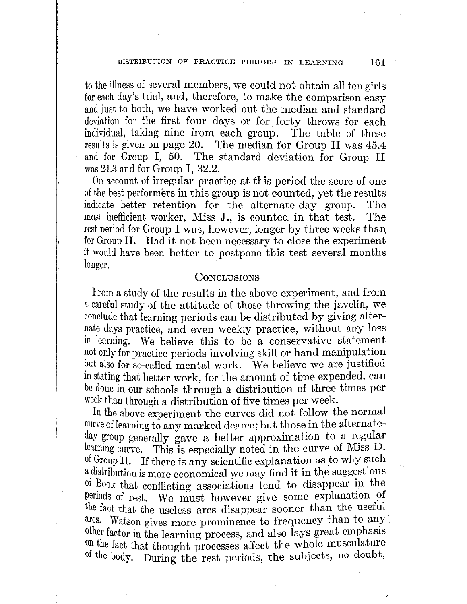to the illness of several members, we could not obtain all ten girls for each day's trial, and, therefore, to make the comparison easy and just to both, we have worked out the median and standard deviation for the first four days or for forty throws for each individual, taking nine from each group. The table of these results is given on page 20. The median for Group II was 45.4 and for Group I, 50. The standard deviation for Group II<br>was 24.3 and for Group I, 32.2. was  $24.3$  and for Group I,  $32.2$ .

On account of irregular practice at this period the score of one of the best performers in this group is not counted, yet the results indicate better retention for the alternate-day group. The most inefficient worker, Miss J., is counted in that test. The rest: monotone worker, relies of, is counted in the cost. The for Group IJ. Had it not been necessary to close the experiment it would have been better to postpone this test several months longer. . .

### **CONCLUSIONS**

From a study of the results in the above experiment, and from <sup>a</sup> careful study of the attitude of those throwing the javelin, we conclude that learning periods can be distributed by giving alternate days practice, and even weekly practice, without any loss have days practice, and even weekly practice, without any loss<br>in learning. We believe this to be a conservative statement not only for practice periods involving skill or hand manipulation but also for so-called mental work. We believe we are justified in stating that better work, for the amount of time expended, can be done in our schools through a distribution of three times per week than through a distribution of five times per week.

day group generally gave a better approximation to a regular In the above experiment the curves did not follow the normal curve of learning to any marked degree; but those in the alternatelearning curve. This is especially noted in the curve of Miss D. ofGroup II. If there is any scientific explanation as to why such a distribution is more economical we may find it in the suggestions of Book that conflicting associations tend to disappear in the Periods of rest. We must however give some explanation of the fact that the useless arcs disappear sooner than the useful ares. Watson gives more prominence to frequency than to any" other factor in the learning process, and also lays great emphasis <sup>on the fact</sup> that thought processes affect the whole musculature of the body, During the rest periods, the subjects, no doubt,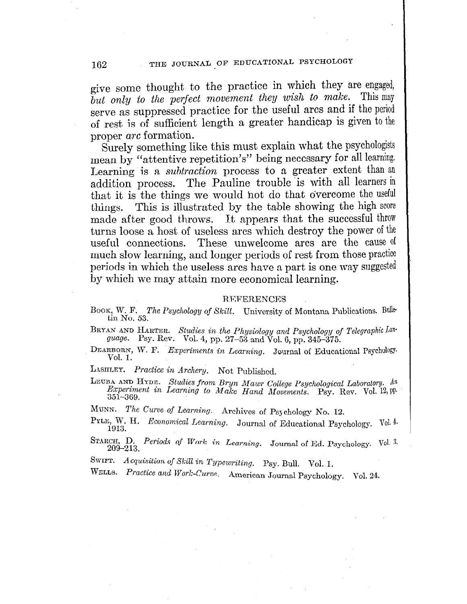give some thought to the practice in which they are engaged, but only to the perfect movement they wish to make. This may serve as suppressed practice for the useful arcs and if the period of rest is of sufficient length a greater handicap is givento the proper arc formation.

Surely something like this must explain what the psychologists mean by "attentive repetition's" being necessary for all learning. Learning is a subtraction process to a greater extent than an addition process. The Pauline trouble is with all learners in that it is the things we would not do that overcome the useful things. This is illustrated by the table showing the high score made after good throws. It appears that the successful throw turns loose a host of useless arcs which destroy the power of the useful connections. These unwelcome arcs are the cause of much slow learning, and longer periodsof rest from those practice periods in which the useless ares have a part is one way suggested by which we may attain more economical learning.

### **REFERENCES**

- Book, W. F. The Psychology of Skill. University of Montana Publications. Bulletin No. 53.
- BRYAN AND HARTER. Studies in the Physiology and Psychology of Telegraphic Language. Psy. Rev. Vol. 4, pp. 27–53 and Vol. 6, pp. 345–375.
- DEARBORN, W. F. Experiments in Learning. Journal of Educational Psychology. Vol. 1.

LASHLEY. Practice in Archery. Not Published.

LEUBA AND HYDE. Studies from Bryn Mawr College Psychological Laboratory. An Experiment in Learning to Make Hand Movements. Psy. Rev. Vol. 12, pp. 351-369.

Monn. The Curve of Learning. Archives of Psychology No. 12.

PYLE, W. H. Economical Learning. Journal of Educational Psychology. Vol. 4.<br>1913.

 $\frac{1}{2}$ 

STARCH, D. Periods of Work in Learning. Journal of Ed. Psychology. Vol. 3.<br>209-213.

SWIFT. Acquisition of Skill in Typewriting. Psy. Bull. Vol. 1.

WELLS. Practice and Work-Curve. American Journal Psychology. Vol. 24.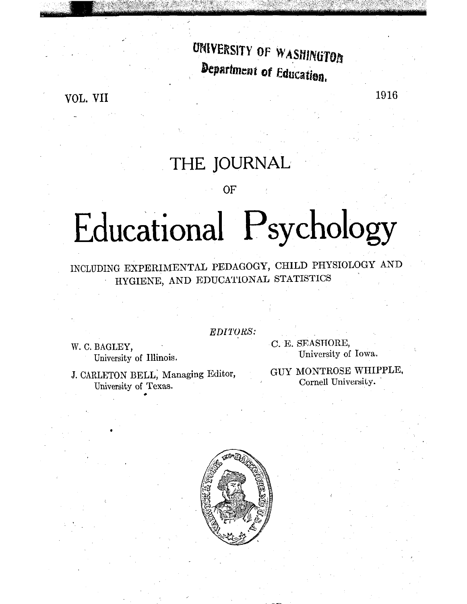UNIVERSITY OF WASHINGTOn Department of Education.

VOL. VII 1916

# THE JOURNAL

### $OF$

# $\begin{tabular}{ll} \hline & \textbf{UMVIEW OF WASIMWITD}_\textbf{N} \end{tabular} \begin{tabular}{ll} \multicolumn{2}{l}{{\small \textbf{P}}{\small \textbf{D}}{\small \textbf{B}}{\small \textbf{B}}{\small \textbf{B}}{\small \textbf{B}}{\small \textbf{B}}{\small \textbf{B}}{\small \textbf{B}}{\small \textbf{B}}{\small \textbf{B}}{\small \textbf{B}}{\small \textbf{B}}{\small \textbf{B}}{\small \textbf{B}}{\small \textbf{B}}{\small \textbf{B}}{\small \textbf{B}}{\small \textbf{B}}{\small \textbf{B}}{\small \text$ Educational Psychology

## INCLUDING EXPERIMENTAL PEDAGOGY, CHILD PHYSIOLOGY AND. HYGIENE, AND EDUCATIONAL STATISTICS

od extensive extensive extensive extensive extensive extensive extensive extensive extensive extensive extensive extensive extensive extensive extensive extensive extensive extensive extensive extensive extensive extensive

University of Texas.

 $\label{eq:1} \begin{array}{lll} \textit{EDITORS:} \qquad & \qquad \textit{C. E. SEASHORE,} \end{array}$  <br> W. C. BAGLEY, University of Illinois. University of Iowa.

J. CARLETON BELL, Managing Editor, GUY MONTROSE WHIPPLE,

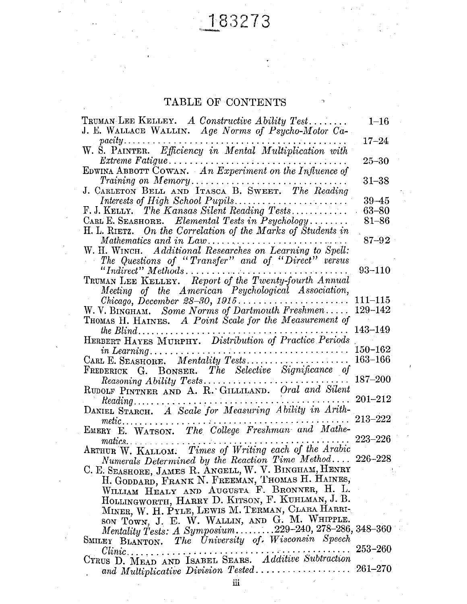# 183273

# TABLE OF CONTENTS

| TRUMAN LEE KELLEY. A Constructive Ability Test                                                                                    | $1 - 16$                     |
|-----------------------------------------------------------------------------------------------------------------------------------|------------------------------|
| J. E. WALLACE WALLIN. Age Norms of Psycho-Motor Ca-                                                                               |                              |
| $\textit{pacity} \dots \dots \dots \dots$<br>W. S. PAINTER. Efficiency in Mental Multiplication with                              | $17 - 24$                    |
| $Extreme \; Fatique \ldots \ldots \ldots \ldots \ldots \ldots \ldots$                                                             | $25 - 30$                    |
| EDWINA ABBOTT COWAN. An Experiment on the Influence of                                                                            |                              |
| $Training on \; Memory \ldots \ldots \ldots \ldots \ldots \ldots \ldots \ldots \ldots \ldots$                                     | $31 - 38$                    |
| J. CARLETON BELL AND ITASCA B. SWEET. The Reading                                                                                 |                              |
|                                                                                                                                   | $39 - 45$                    |
| $F. J. KELLY.$ The Kansas Silent Reading Tests                                                                                    | $63 - 80$                    |
| CARL E. SEASHORE. Elemental Tests in $Psychology$                                                                                 | $81 - 86$                    |
| H. L. RIETZ. On the Correlation of the Marks of Students in                                                                       |                              |
| W. H. WINCH. Additional Researches on Learning to Spell:                                                                          | $87 - 92$                    |
| The Questions of "Transfer" and of "Direct" versus                                                                                |                              |
| $"Indirect" \ Methods \ldots \ldots \ldots \ldots \ldots \ldots \ldots \ldots \ldots \ldots$                                      | $93 - 110$                   |
| TRUMAN LEE KELLEY. Report of the Twenty-fourth Annual                                                                             |                              |
| Meeting of the American Psychological Association,                                                                                |                              |
|                                                                                                                                   | $111 - 115$                  |
| W. V. BINGHAM. Some Norms of Dartmouth Freshmen                                                                                   | $129 - 142$                  |
| THOMAS H. HAINES. A Point Scale for the Measurement of                                                                            |                              |
| the $Blind$                                                                                                                       | $143 - 149$                  |
| HERBERT HAYES MURPHY. Distribution of Practice Periods                                                                            | $150 - 162$                  |
| $in\, Learning \ldots \ldots \ldots \ldots \ldots \ldots \ldots \ldots \ldots \ldots \ldots$<br>CARL E. SEASHORE. Mentality Tests | $-163 - 166$                 |
|                                                                                                                                   |                              |
|                                                                                                                                   | $187 - 200$                  |
|                                                                                                                                   |                              |
| $Reading \dots \dots \dots \dots$                                                                                                 | $201 - 212$                  |
| DANIEL STARCH. A Scale for Measuring Ability in Arith-                                                                            |                              |
| $metric \ldots \ldots \ldots \ldots$                                                                                              | $213 - 222$                  |
| EMERY E. WATSON. The College Freshman and Mathe-<br>$matics \dots \dots \dots$                                                    | $-223\hbox{--}226$           |
| ARTHUR W. KALLOM. Times of Writing each of the Arabic                                                                             |                              |
| Numerals Determined by the Reaction Time Method 226-228                                                                           |                              |
| C. E. SEASHORE, JAMES R. ANGELL, W. V. BINGHAM, HENRY                                                                             |                              |
| H. GODDARD, FRANK N. FREEMAN, THOMAS H. HAINES,                                                                                   |                              |
| WILLIAM HEALY AND AUGUSTA F. BRONNER, H. L.                                                                                       |                              |
| HOLLINGWORTH, HARRY D. KITSON, F. KUHLMAN, J. B.                                                                                  |                              |
| MINER, W. H. PYLE, LEWIS M. TERMAN, CLARA HARRI-                                                                                  |                              |
| SON TOWN, J. E. W. WALLIN, AND G. M. WHIPPLE.<br>Mentality Tests: A Symposium229-240, 278-286, 348-360                            |                              |
| SMILEY BLANTON. The University of Wisconsin Speech                                                                                |                              |
|                                                                                                                                   | $\ldots\,\, 253\text{--}260$ |
|                                                                                                                                   |                              |
| and Multiplicative Division Tested 261-270                                                                                        |                              |

 $\rlap{-}$